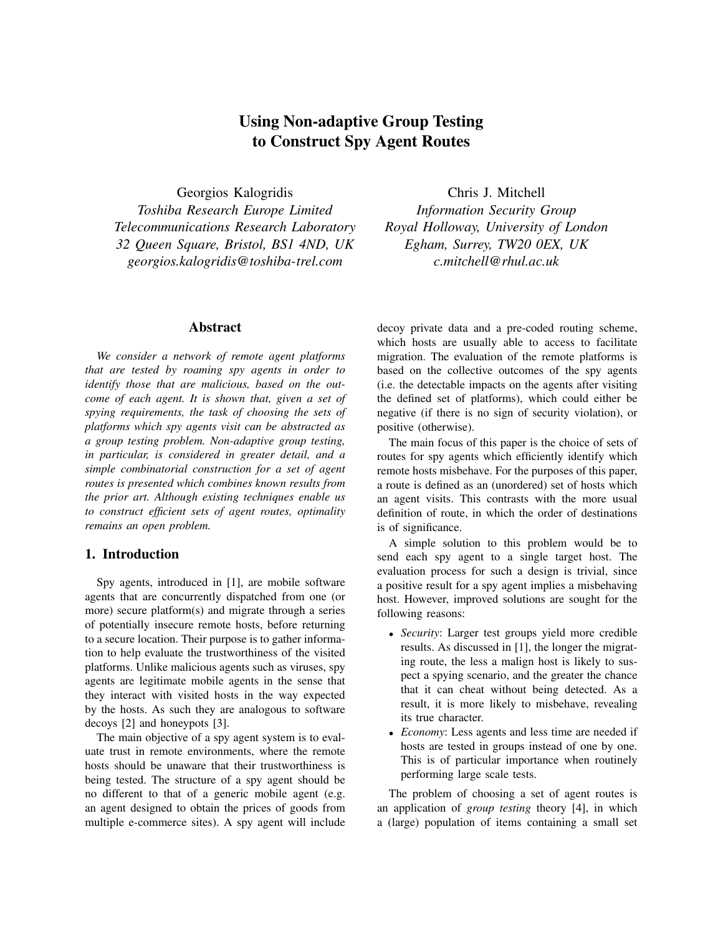# **Using Non-adaptive Group Testing to Construct Spy Agent Routes**

Georgios Kalogridis *Toshiba Research Europe Limited Telecommunications Research Laboratory 32 Queen Square, Bristol, BS1 4ND, UK georgios.kalogridis@toshiba-trel.com*

#### **Abstract**

*We consider a network of remote agent platforms that are tested by roaming spy agents in order to identify those that are malicious, based on the outcome of each agent. It is shown that, given a set of spying requirements, the task of choosing the sets of platforms which spy agents visit can be abstracted as a group testing problem. Non-adaptive group testing, in particular, is considered in greater detail, and a simple combinatorial construction for a set of agent routes is presented which combines known results from the prior art. Although existing techniques enable us to construct efficient sets of agent routes, optimality remains an open problem.*

#### **1. Introduction**

Spy agents, introduced in [1], are mobile software agents that are concurrently dispatched from one (or more) secure platform(s) and migrate through a series of potentially insecure remote hosts, before returning to a secure location. Their purpose is to gather information to help evaluate the trustworthiness of the visited platforms. Unlike malicious agents such as viruses, spy agents are legitimate mobile agents in the sense that they interact with visited hosts in the way expected by the hosts. As such they are analogous to software decoys [2] and honeypots [3].

The main objective of a spy agent system is to evaluate trust in remote environments, where the remote hosts should be unaware that their trustworthiness is being tested. The structure of a spy agent should be no different to that of a generic mobile agent (e.g. an agent designed to obtain the prices of goods from multiple e-commerce sites). A spy agent will include

Chris J. Mitchell *Information Security Group Royal Holloway, University of London Egham, Surrey, TW20 0EX, UK c.mitchell@rhul.ac.uk*

decoy private data and a pre-coded routing scheme, which hosts are usually able to access to facilitate migration. The evaluation of the remote platforms is based on the collective outcomes of the spy agents (i.e. the detectable impacts on the agents after visiting the defined set of platforms), which could either be negative (if there is no sign of security violation), or positive (otherwise).

The main focus of this paper is the choice of sets of routes for spy agents which efficiently identify which remote hosts misbehave. For the purposes of this paper, a route is defined as an (unordered) set of hosts which an agent visits. This contrasts with the more usual definition of route, in which the order of destinations is of significance.

A simple solution to this problem would be to send each spy agent to a single target host. The evaluation process for such a design is trivial, since a positive result for a spy agent implies a misbehaving host. However, improved solutions are sought for the following reasons:

- *Security*: Larger test groups yield more credible results. As discussed in [1], the longer the migrating route, the less a malign host is likely to suspect a spying scenario, and the greater the chance that it can cheat without being detected. As a result, it is more likely to misbehave, revealing its true character.
- *Economy*: Less agents and less time are needed if hosts are tested in groups instead of one by one. This is of particular importance when routinely performing large scale tests.

The problem of choosing a set of agent routes is an application of *group testing* theory [4], in which a (large) population of items containing a small set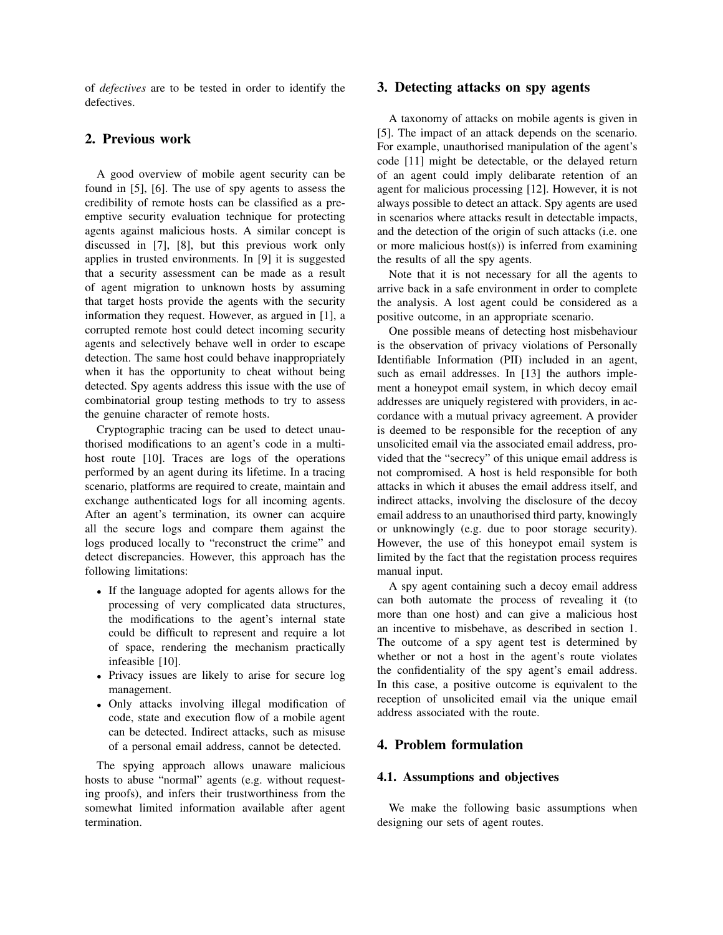of *defectives* are to be tested in order to identify the defectives.

# **2. Previous work**

A good overview of mobile agent security can be found in [5], [6]. The use of spy agents to assess the credibility of remote hosts can be classified as a preemptive security evaluation technique for protecting agents against malicious hosts. A similar concept is discussed in [7], [8], but this previous work only applies in trusted environments. In [9] it is suggested that a security assessment can be made as a result of agent migration to unknown hosts by assuming that target hosts provide the agents with the security information they request. However, as argued in [1], a corrupted remote host could detect incoming security agents and selectively behave well in order to escape detection. The same host could behave inappropriately when it has the opportunity to cheat without being detected. Spy agents address this issue with the use of combinatorial group testing methods to try to assess the genuine character of remote hosts.

Cryptographic tracing can be used to detect unauthorised modifications to an agent's code in a multihost route [10]. Traces are logs of the operations performed by an agent during its lifetime. In a tracing scenario, platforms are required to create, maintain and exchange authenticated logs for all incoming agents. After an agent's termination, its owner can acquire all the secure logs and compare them against the logs produced locally to "reconstruct the crime" and detect discrepancies. However, this approach has the following limitations:

- If the language adopted for agents allows for the processing of very complicated data structures, the modifications to the agent's internal state could be difficult to represent and require a lot of space, rendering the mechanism practically infeasible [10].
- Privacy issues are likely to arise for secure log management.
- Only attacks involving illegal modification of code, state and execution flow of a mobile agent can be detected. Indirect attacks, such as misuse of a personal email address, cannot be detected.

The spying approach allows unaware malicious hosts to abuse "normal" agents (e.g. without requesting proofs), and infers their trustworthiness from the somewhat limited information available after agent termination.

## **3. Detecting attacks on spy agents**

A taxonomy of attacks on mobile agents is given in [5]. The impact of an attack depends on the scenario. For example, unauthorised manipulation of the agent's code [11] might be detectable, or the delayed return of an agent could imply delibarate retention of an agent for malicious processing [12]. However, it is not always possible to detect an attack. Spy agents are used in scenarios where attacks result in detectable impacts, and the detection of the origin of such attacks (i.e. one or more malicious host(s)) is inferred from examining the results of all the spy agents.

Note that it is not necessary for all the agents to arrive back in a safe environment in order to complete the analysis. A lost agent could be considered as a positive outcome, in an appropriate scenario.

One possible means of detecting host misbehaviour is the observation of privacy violations of Personally Identifiable Information (PII) included in an agent, such as email addresses. In [13] the authors implement a honeypot email system, in which decoy email addresses are uniquely registered with providers, in accordance with a mutual privacy agreement. A provider is deemed to be responsible for the reception of any unsolicited email via the associated email address, provided that the "secrecy" of this unique email address is not compromised. A host is held responsible for both attacks in which it abuses the email address itself, and indirect attacks, involving the disclosure of the decoy email address to an unauthorised third party, knowingly or unknowingly (e.g. due to poor storage security). However, the use of this honeypot email system is limited by the fact that the registation process requires manual input.

A spy agent containing such a decoy email address can both automate the process of revealing it (to more than one host) and can give a malicious host an incentive to misbehave, as described in section 1. The outcome of a spy agent test is determined by whether or not a host in the agent's route violates the confidentiality of the spy agent's email address. In this case, a positive outcome is equivalent to the reception of unsolicited email via the unique email address associated with the route.

## **4. Problem formulation**

#### **4.1. Assumptions and objectives**

We make the following basic assumptions when designing our sets of agent routes.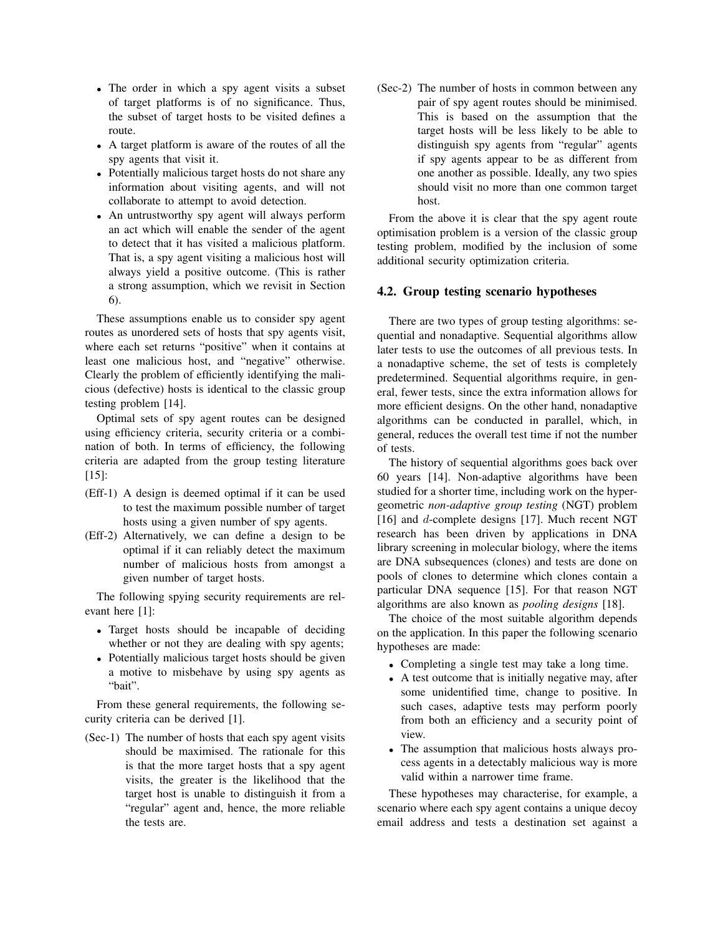- The order in which a spy agent visits a subset of target platforms is of no significance. Thus, the subset of target hosts to be visited defines a route.
- A target platform is aware of the routes of all the spy agents that visit it.
- Potentially malicious target hosts do not share any information about visiting agents, and will not collaborate to attempt to avoid detection.
- An untrustworthy spy agent will always perform an act which will enable the sender of the agent to detect that it has visited a malicious platform. That is, a spy agent visiting a malicious host will always yield a positive outcome. (This is rather a strong assumption, which we revisit in Section 6).

These assumptions enable us to consider spy agent routes as unordered sets of hosts that spy agents visit, where each set returns "positive" when it contains at least one malicious host, and "negative" otherwise. Clearly the problem of efficiently identifying the malicious (defective) hosts is identical to the classic group testing problem [14].

Optimal sets of spy agent routes can be designed using efficiency criteria, security criteria or a combination of both. In terms of efficiency, the following criteria are adapted from the group testing literature [15]:

- (Eff-1) A design is deemed optimal if it can be used to test the maximum possible number of target hosts using a given number of spy agents.
- (Eff-2) Alternatively, we can define a design to be optimal if it can reliably detect the maximum number of malicious hosts from amongst a given number of target hosts.

The following spying security requirements are relevant here [1]:

- Target hosts should be incapable of deciding whether or not they are dealing with spy agents;
- Potentially malicious target hosts should be given a motive to misbehave by using spy agents as "bait".

From these general requirements, the following security criteria can be derived [1].

(Sec-1) The number of hosts that each spy agent visits should be maximised. The rationale for this is that the more target hosts that a spy agent visits, the greater is the likelihood that the target host is unable to distinguish it from a "regular" agent and, hence, the more reliable the tests are.

(Sec-2) The number of hosts in common between any pair of spy agent routes should be minimised. This is based on the assumption that the target hosts will be less likely to be able to distinguish spy agents from "regular" agents if spy agents appear to be as different from one another as possible. Ideally, any two spies should visit no more than one common target host.

From the above it is clear that the spy agent route optimisation problem is a version of the classic group testing problem, modified by the inclusion of some additional security optimization criteria.

#### **4.2. Group testing scenario hypotheses**

There are two types of group testing algorithms: sequential and nonadaptive. Sequential algorithms allow later tests to use the outcomes of all previous tests. In a nonadaptive scheme, the set of tests is completely predetermined. Sequential algorithms require, in general, fewer tests, since the extra information allows for more efficient designs. On the other hand, nonadaptive algorithms can be conducted in parallel, which, in general, reduces the overall test time if not the number of tests.

The history of sequential algorithms goes back over 60 years [14]. Non-adaptive algorithms have been studied for a shorter time, including work on the hypergeometric *non-adaptive group testing* (NGT) problem [16] and *d*-complete designs [17]. Much recent NGT research has been driven by applications in DNA library screening in molecular biology, where the items are DNA subsequences (clones) and tests are done on pools of clones to determine which clones contain a particular DNA sequence [15]. For that reason NGT algorithms are also known as *pooling designs* [18].

The choice of the most suitable algorithm depends on the application. In this paper the following scenario hypotheses are made:

- Completing a single test may take a long time.
- A test outcome that is initially negative may, after some unidentified time, change to positive. In such cases, adaptive tests may perform poorly from both an efficiency and a security point of view.
- The assumption that malicious hosts always process agents in a detectably malicious way is more valid within a narrower time frame.

These hypotheses may characterise, for example, a scenario where each spy agent contains a unique decoy email address and tests a destination set against a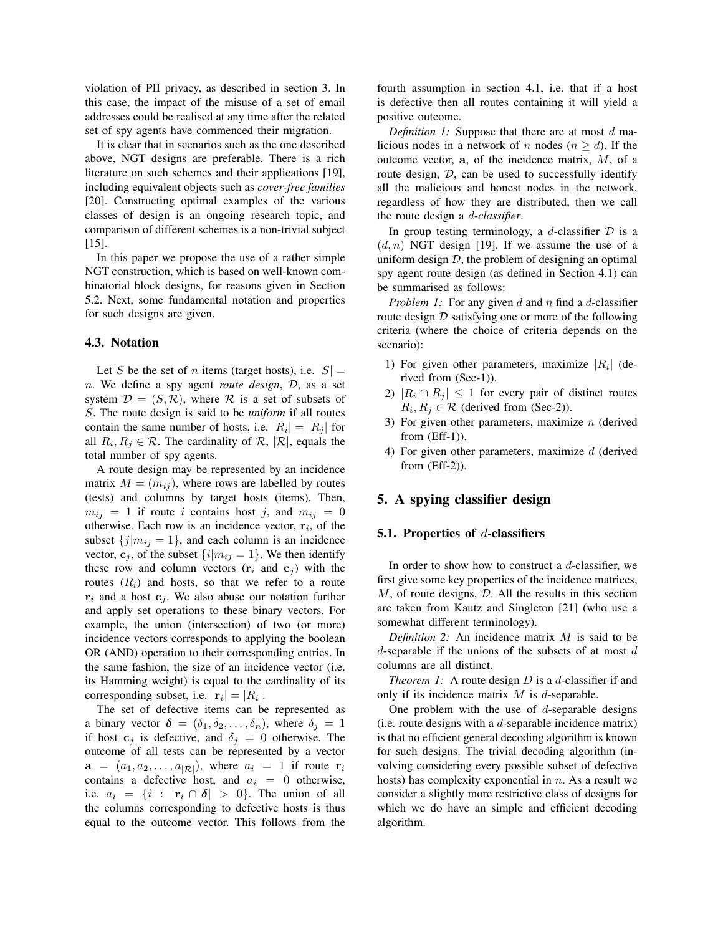violation of PII privacy, as described in section 3. In this case, the impact of the misuse of a set of email addresses could be realised at any time after the related set of spy agents have commenced their migration.

It is clear that in scenarios such as the one described above, NGT designs are preferable. There is a rich literature on such schemes and their applications [19], including equivalent objects such as *cover-free families* [20]. Constructing optimal examples of the various classes of design is an ongoing research topic, and comparison of different schemes is a non-trivial subject [15].

In this paper we propose the use of a rather simple NGT construction, which is based on well-known combinatorial block designs, for reasons given in Section 5.2. Next, some fundamental notation and properties for such designs are given.

#### **4.3. Notation**

Let S be the set of n items (target hosts), i.e.  $|S| =$ n. We define a spy agent *route design*, D, as a set system  $\mathcal{D} = (S, \mathcal{R})$ , where  $\mathcal{R}$  is a set of subsets of S. The route design is said to be *uniform* if all routes contain the same number of hosts, i.e.  $|R_i| = |R_i|$  for all  $R_i, R_j \in \mathcal{R}$ . The cardinality of  $\mathcal{R}, |\mathcal{R}|$ , equals the total number of spy agents.

A route design may be represented by an incidence matrix  $M = (m_{ij})$ , where rows are labelled by routes (tests) and columns by target hosts (items). Then,  $m_{ij} = 1$  if route i contains host j, and  $m_{ij} = 0$ otherwise. Each row is an incidence vector,  $\mathbf{r}_i$ , of the subset  ${j|m_{ij} = 1}$ , and each column is an incidence vector,  $\mathbf{c}_j$ , of the subset  $\{i|m_{ij} = 1\}$ . We then identify these row and column vectors  $(r_i \text{ and } c_j)$  with the routes  $(R_i)$  and hosts, so that we refer to a route  $\mathbf{r}_i$  and a host  $\mathbf{c}_j$ . We also abuse our notation further and apply set operations to these binary vectors. For example, the union (intersection) of two (or more) incidence vectors corresponds to applying the boolean OR (AND) operation to their corresponding entries. In the same fashion, the size of an incidence vector (i.e. its Hamming weight) is equal to the cardinality of its corresponding subset, i.e.  $|\mathbf{r}_i| = |R_i|$ .

The set of defective items can be represented as a binary vector  $\boldsymbol{\delta} = (\delta_1, \delta_2, \dots, \delta_n)$ , where  $\delta_j = 1$ if host  $c_j$  is defective, and  $\delta_j = 0$  otherwise. The outcome of all tests can be represented by a vector  $a = (a_1, a_2, \dots, a_{|\mathcal{R}|})$ , where  $a_i = 1$  if route  $\mathbf{r}_i$ contains a defective host, and a*<sup>i</sup>* = 0 otherwise, i.e.  $a_i = \{i : |\mathbf{r}_i \cap \delta| > 0\}$ . The union of all the columns corresponding to defective hosts is thus equal to the outcome vector. This follows from the fourth assumption in section 4.1, i.e. that if a host is defective then all routes containing it will yield a positive outcome.

*Definition 1:* Suppose that there are at most d malicious nodes in a network of n nodes  $(n \ge d)$ . If the outcome vector, **a**, of the incidence matrix, M, of a route design,  $D$ , can be used to successfully identify all the malicious and honest nodes in the network, regardless of how they are distributed, then we call the route design a d-*classifier*.

In group testing terminology, a d-classifier  $D$  is a  $(d, n)$  NGT design [19]. If we assume the use of a uniform design  $D$ , the problem of designing an optimal spy agent route design (as defined in Section 4.1) can be summarised as follows:

*Problem 1:* For any given d and n find a d-classifier route design  $D$  satisfying one or more of the following criteria (where the choice of criteria depends on the scenario):

- 1) For given other parameters, maximize  $|R_i|$  (derived from (Sec-1)).
- 2)  $|R_i \cap R_j| \leq 1$  for every pair of distinct routes  $R_i, R_j \in \mathcal{R}$  (derived from (Sec-2)).
- 3) For given other parameters, maximize  $n$  (derived from (Eff-1)).
- 4) For given other parameters, maximize  $d$  (derived from (Eff-2)).

## **5. A spying classifier design**

### **5.1. Properties of** d**-classifiers**

In order to show how to construct a  $d$ -classifier, we first give some key properties of the incidence matrices,  $M$ , of route designs,  $D$ . All the results in this section are taken from Kautz and Singleton [21] (who use a somewhat different terminology).

*Definition 2:* An incidence matrix M is said to be d-separable if the unions of the subsets of at most  $d$ columns are all distinct.

*Theorem 1:* A route design *D* is a *d*-classifier if and only if its incidence matrix  $M$  is d-separable.

One problem with the use of  $d$ -separable designs (i.e. route designs with a  $d$ -separable incidence matrix) is that no efficient general decoding algorithm is known for such designs. The trivial decoding algorithm (involving considering every possible subset of defective hosts) has complexity exponential in  $n$ . As a result we consider a slightly more restrictive class of designs for which we do have an simple and efficient decoding algorithm.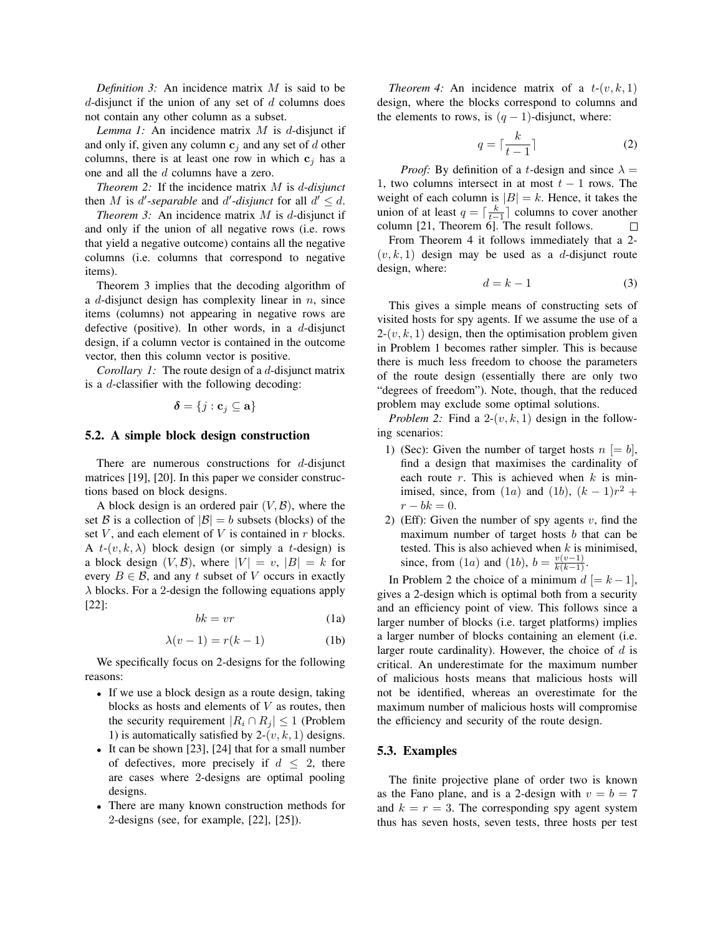*Definition 3:* An incidence matrix M is said to be d-disjunct if the union of any set of  $d$  columns does not contain any other column as a subset.

*Lemma 1:* An incidence matrix M is d-disjunct if and only if, given any column  $c_j$  and any set of d other columns, there is at least one row in which  $c_j$  has a one and all the d columns have a zero.

*Theorem 2:* If the incidence matrix M is d-*disjunct* then M is d'-separable and d'-disjunct for all  $d' \leq d$ .

*Theorem 3:* An incidence matrix *M* is *d*-disjunct if and only if the union of all negative rows (i.e. rows that yield a negative outcome) contains all the negative columns (i.e. columns that correspond to negative items).

Theorem 3 implies that the decoding algorithm of a d-disjunct design has complexity linear in  $n$ , since items (columns) not appearing in negative rows are defective (positive). In other words, in a  $d$ -disjunct design, if a column vector is contained in the outcome vector, then this column vector is positive.

*Corollary 1:* The route design of a d-disjunct matrix is a d-classifier with the following decoding:

$$
\boldsymbol{\delta} = \{j: \mathbf{c}_j \subseteq \mathbf{a}\}
$$

#### **5.2. A simple block design construction**

There are numerous constructions for  $d$ -disjunct matrices [19], [20]. In this paper we consider constructions based on block designs.

A block design is an ordered pair  $(V, \mathcal{B})$ , where the set B is a collection of  $|\mathcal{B}| = b$  subsets (blocks) of the set  $V$ , and each element of  $V$  is contained in  $r$  blocks. A  $t$ - $(v, k, \lambda)$  block design (or simply a t-design) is a block design  $(V, \mathcal{B})$ , where  $|V| = v$ ,  $|B| = k$  for every  $B \in \mathcal{B}$ , and any t subset of V occurs in exactly  $\lambda$  blocks. For a 2-design the following equations apply [22]:

$$
bk = vr
$$
 (1a)

$$
\lambda(v-1) = r(k-1) \tag{1b}
$$

We specifically focus on 2-designs for the following reasons:

- If we use a block design as a route design, taking blocks as hosts and elements of  $V$  as routes, then the security requirement  $|R_i \cap R_j| \leq 1$  (Problem 1) is automatically satisfied by  $2-(v, k, 1)$  designs.
- It can be shown [23], [24] that for a small number of defectives, more precisely if  $d \leq 2$ , there are cases where 2-designs are optimal pooling designs.
- There are many known construction methods for 2-designs (see, for example, [22], [25]).

*Theorem 4:* An incidence matrix of a  $t-(v, k, 1)$ design, where the blocks correspond to columns and the elements to rows, is  $(q - 1)$ -disjunct, where:

$$
q = \lceil \frac{k}{t - 1} \rceil \tag{2}
$$

*Proof:* By definition of a *t*-design and since  $\lambda$  = 1, two columns intersect in at most  $t - 1$  rows. The weight of each column is  $|B| = k$ . Hence, it takes the union of at least  $q = \left[\frac{k}{t-1}\right]$  columns to cover another column [21, Theorem 6]. The result follows.

From Theorem 4 it follows immediately that a 2-  $(v, k, 1)$  design may be used as a d-disjunct route design, where:

$$
d = k - 1 \tag{3}
$$

This gives a simple means of constructing sets of visited hosts for spy agents. If we assume the use of a  $2-(v, k, 1)$  design, then the optimisation problem given in Problem 1 becomes rather simpler. This is because there is much less freedom to choose the parameters of the route design (essentially there are only two "degrees of freedom"). Note, though, that the reduced problem may exclude some optimal solutions.

*Problem 2:* Find a  $2-(v, k, 1)$  design in the following scenarios:

- 1) (Sec): Given the number of target hosts  $n \models b$ , find a design that maximises the cardinality of each route  $r$ . This is achieved when  $k$  is minimised, since, from  $(1a)$  and  $(1b)$ ,  $(k-1)r^2$  +  $r - bk = 0.$
- 2) (Eff): Given the number of spy agents  $v$ , find the maximum number of target hosts  $b$  that can be tested. This is also achieved when  $k$  is minimised, since, from (1*a*) and (1*b*),  $b = \frac{v(v-1)}{k(k-1)}$ .

In Problem 2 the choice of a minimum  $d \models k-1$ , gives a 2-design which is optimal both from a security and an efficiency point of view. This follows since a larger number of blocks (i.e. target platforms) implies a larger number of blocks containing an element (i.e. larger route cardinality). However, the choice of  $d$  is critical. An underestimate for the maximum number of malicious hosts means that malicious hosts will not be identified, whereas an overestimate for the maximum number of malicious hosts will compromise the efficiency and security of the route design.

#### **5.3. Examples**

The finite projective plane of order two is known as the Fano plane, and is a 2-design with  $v = b = 7$ and  $k = r = 3$ . The corresponding spy agent system thus has seven hosts, seven tests, three hosts per test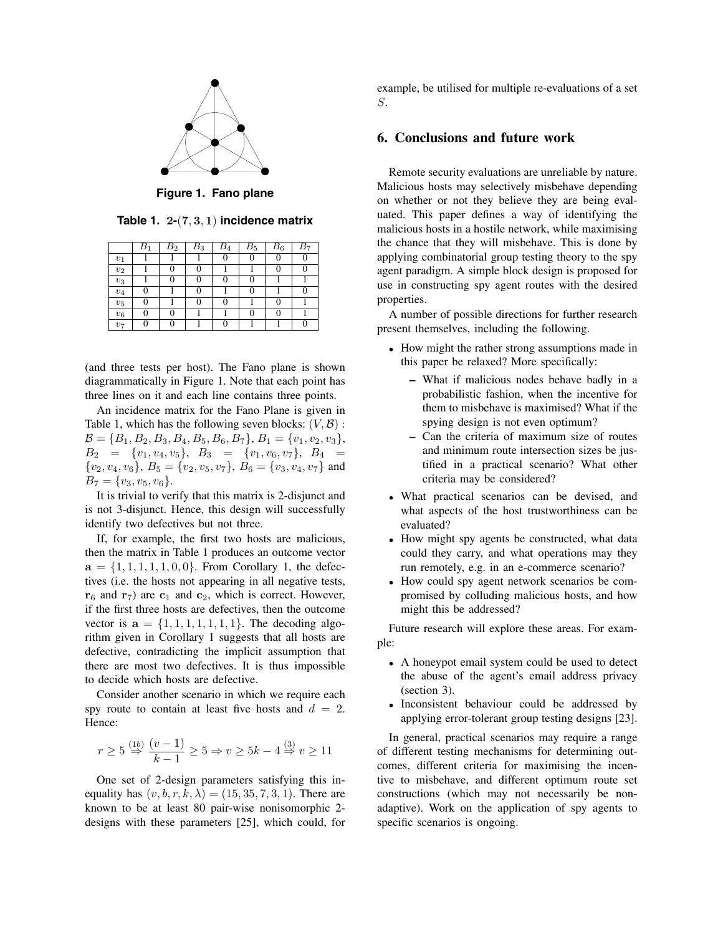

**Figure 1. Fano plane**

**Table 1. 2-**(**7**, **3**, **1**) **incidence matrix**

|              | $_{B_1}$ | $\overline{B_2}$ | $\overline{B}_3$ | $B_4$ | $\overline{B}_5$ | $\bar{B}_6$ | B7 |
|--------------|----------|------------------|------------------|-------|------------------|-------------|----|
| $v_1$        |          |                  |                  | 0     |                  | 0           |    |
| $v_2$        |          |                  | 0                |       |                  | 0           |    |
| $v_3$        |          | 0                | 0                |       |                  |             |    |
| $v_4$        | I)       |                  | 0                |       |                  |             |    |
| $\upsilon_5$ | 0        |                  | 0                |       |                  | 0           |    |
| $v_6$        |          |                  |                  |       |                  | 0           |    |
| $v_7$        |          |                  |                  |       |                  |             |    |

(and three tests per host). The Fano plane is shown diagrammatically in Figure 1. Note that each point has three lines on it and each line contains three points.

An incidence matrix for the Fano Plane is given in Table 1, which has the following seven blocks:  $(V, \mathcal{B})$ :  $\mathcal{B} = \{B_1, B_2, B_3, B_4, B_5, B_6, B_7\}, B_1 = \{v_1, v_2, v_3\},$  $B_2 = \{v_1, v_4, v_5\}, B_3 = \{v_1, v_6, v_7\}, B_4 =$  $\{v_2, v_4, v_6\}, B_5 = \{v_2, v_5, v_7\}, B_6 = \{v_3, v_4, v_7\}$  and  $B_7 = \{v_3, v_5, v_6\}.$ 

It is trivial to verify that this matrix is 2-disjunct and is not 3-disjunct. Hence, this design will successfully identify two defectives but not three.

If, for example, the first two hosts are malicious, then the matrix in Table 1 produces an outcome vector  $a = \{1, 1, 1, 1, 1, 0, 0\}$ . From Corollary 1, the defectives (i.e. the hosts not appearing in all negative tests,  $\mathbf{r}_6$  and  $\mathbf{r}_7$ ) are  $\mathbf{c}_1$  and  $\mathbf{c}_2$ , which is correct. However, if the first three hosts are defectives, then the outcome vector is  $a = \{1, 1, 1, 1, 1, 1, 1\}$ . The decoding algorithm given in Corollary 1 suggests that all hosts are defective, contradicting the implicit assumption that there are most two defectives. It is thus impossible to decide which hosts are defective.

Consider another scenario in which we require each spy route to contain at least five hosts and  $d = 2$ . Hence:

$$
r \ge 5 \stackrel{(1b)}{\Rightarrow} \frac{(v-1)}{k-1} \ge 5 \Rightarrow v \ge 5k - 4 \stackrel{(3)}{\Rightarrow} v \ge 11
$$

One set of 2-design parameters satisfying this inequality has  $(v, b, r, k, \lambda) = (15, 35, 7, 3, 1)$ . There are known to be at least 80 pair-wise nonisomorphic 2 designs with these parameters [25], which could, for example, be utilised for multiple re-evaluations of a set S.

# **6. Conclusions and future work**

Remote security evaluations are unreliable by nature. Malicious hosts may selectively misbehave depending on whether or not they believe they are being evaluated. This paper defines a way of identifying the malicious hosts in a hostile network, while maximising the chance that they will misbehave. This is done by applying combinatorial group testing theory to the spy agent paradigm. A simple block design is proposed for use in constructing spy agent routes with the desired properties.

A number of possible directions for further research present themselves, including the following.

- How might the rather strong assumptions made in this paper be relaxed? More specifically:
	- **–** What if malicious nodes behave badly in a probabilistic fashion, when the incentive for them to misbehave is maximised? What if the spying design is not even optimum?
	- **–** Can the criteria of maximum size of routes and minimum route intersection sizes be justified in a practical scenario? What other criteria may be considered?
- What practical scenarios can be devised, and what aspects of the host trustworthiness can be evaluated?
- How might spy agents be constructed, what data could they carry, and what operations may they run remotely, e.g. in an e-commerce scenario?
- How could spy agent network scenarios be compromised by colluding malicious hosts, and how might this be addressed?

Future research will explore these areas. For example:

- A honeypot email system could be used to detect the abuse of the agent's email address privacy (section 3).
- Inconsistent behaviour could be addressed by applying error-tolerant group testing designs [23].

In general, practical scenarios may require a range of different testing mechanisms for determining outcomes, different criteria for maximising the incentive to misbehave, and different optimum route set constructions (which may not necessarily be nonadaptive). Work on the application of spy agents to specific scenarios is ongoing.